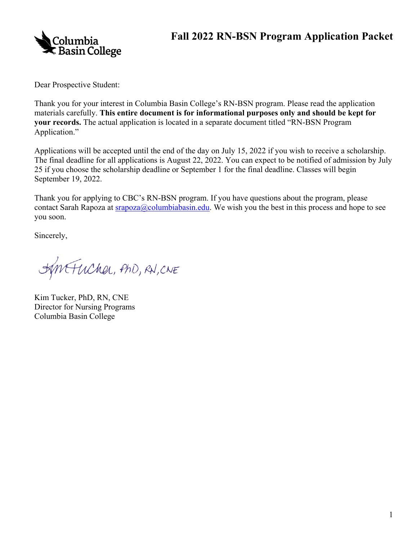



Dear Prospective Student:

Thank you for your interest in Columbia Basin College's RN-BSN program. Please read the application materials carefully. **This entire document is for informational purposes only and should be kept for your records.** The actual application is located in a separate document titled "RN-BSN Program Application."

 Applications will be accepted until the end of the day on July 15, 2022 if you wish to receive a scholarship. The final deadline for all applications is August 22, 2022. You can expect to be notified of admission by July 25 if you choose the scholarship deadline or September 1 for the final deadline. Classes will begin September 19, 2022.

Thank you for applying to CBC's RN-BSN program. If you have questions about the program, please contact Sarah Rapoza at  $\frac{\text{argoz}_a(a\text{columnbias}_i, \text{edu})}{\text{codumbias}_a(a\text{columnbias}_i, \text{b})}$  we wish you the best in this process and hope to see you soon.

Sincerely,

HINTUCKER, PHD, RN, CNE

 Director for Nursing Programs Kim Tucker, PhD, RN, CNE Columbia Basin College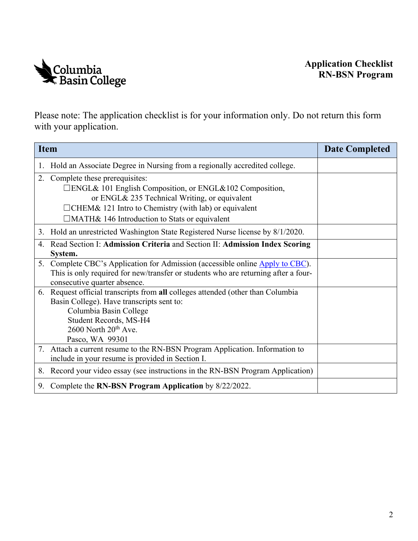

 Please note: The application checklist is for your information only. Do not return this form with your application.

|    | <b>Item</b>                                                                                                                                                                                                                                                  | <b>Date Completed</b> |
|----|--------------------------------------------------------------------------------------------------------------------------------------------------------------------------------------------------------------------------------------------------------------|-----------------------|
| 1. | Hold an Associate Degree in Nursing from a regionally accredited college.                                                                                                                                                                                    |                       |
| 2. | Complete these prerequisites:<br>□ENGL& 101 English Composition, or ENGL&102 Composition,<br>or ENGL& 235 Technical Writing, or equivalent<br>$\Box$ CHEM& 121 Intro to Chemistry (with lab) or equivalent<br>□MATH& 146 Introduction to Stats or equivalent |                       |
|    | 3. Hold an unrestricted Washington State Registered Nurse license by 8/1/2020.                                                                                                                                                                               |                       |
| 4. | Read Section I: Admission Criteria and Section II: Admission Index Scoring<br>System.                                                                                                                                                                        |                       |
|    | 5. Complete CBC's Application for Admission (accessible online Apply to CBC).<br>This is only required for new/transfer or students who are returning after a four-<br>consecutive quarter absence.                                                          |                       |
| 6. | Request official transcripts from all colleges attended (other than Columbia<br>Basin College). Have transcripts sent to:<br>Columbia Basin College<br>Student Records, MS-H4<br>2600 North 20 <sup>th</sup> Ave.<br>Pasco, WA 99301                         |                       |
|    | 7. Attach a current resume to the RN-BSN Program Application. Information to<br>include in your resume is provided in Section I.                                                                                                                             |                       |
|    | 8. Record your video essay (see instructions in the RN-BSN Program Application)                                                                                                                                                                              |                       |
| 9. | Complete the RN-BSN Program Application by 8/22/2022.                                                                                                                                                                                                        |                       |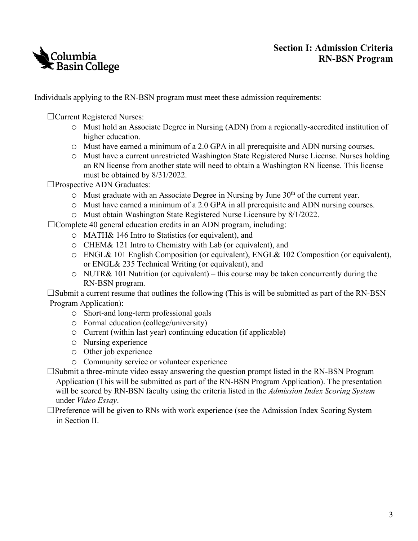

## **Section I: Admission Criteria RN-BSN Program**

Individuals applying to the RN-BSN program must meet these admission requirements:

☐Current Registered Nurses:

- higher education. o Must hold an Associate Degree in Nursing (ADN) from a regionally-accredited institution of
- o Must have earned a minimum of a 2.0 GPA in all prerequisite and ADN nursing courses.
- o Must have a current unrestricted Washington State Registered Nurse License. Nurses holding an RN license from another state will need to obtain a Washington RN license. This license must be obtained by 8/31/2022.

☐Prospective ADN Graduates:

- $\circ$  Must graduate with an Associate Degree in Nursing by June 30<sup>th</sup> of the current year.
- o Must have earned a minimum of a 2.0 GPA in all prerequisite and ADN nursing courses.
- o Must obtain Washington State Registered Nurse Licensure by 8/1/2022.

 $\Box$ Complete 40 general education credits in an ADN program, including:

- o MATH& 146 Intro to Statistics (or equivalent), and
- o CHEM& 121 Intro to Chemistry with Lab (or equivalent), and
- o ENGL& 101 English Composition (or equivalent), ENGL& 102 Composition (or equivalent), or ENGL& 235 Technical Writing (or equivalent), and
- o NUTR& 101 Nutrition (or equivalent) this course may be taken concurrently during the RN-BSN program.

 $\square$ Submit a current resume that outlines the following (This is will be submitted as part of the RN-BSN Program Application):

- o Short-and long-term professional goals
- o Formal education (college/university)
- o Current (within last year) continuing education (if applicable)
- o Nursing experience
- o Other job experience
- o Community service or volunteer experience
- Application (This will be submitted as part of the RN-BSN Program Application). The presentation ☐Submit a three-minute video essay answering the question prompt listed in the RN-BSN Program will be scored by RN-BSN faculty using the criteria listed in the *Admission Index Scoring System*  under *Video Essay*.
- $\Box$ Preference will be given to RNs with work experience (see the Admission Index Scoring System in Section II.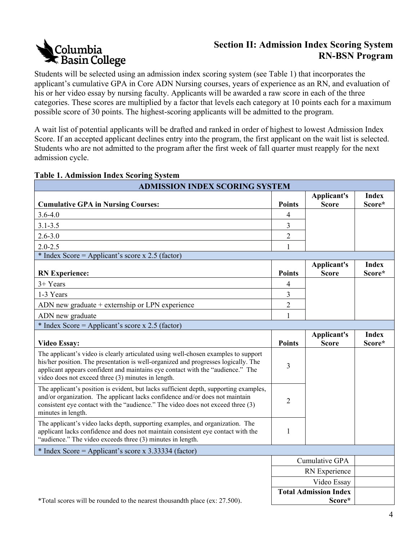# **Columbia<br>C Basin College**

# **Section II: Admission Index Scoring System RN-BSN Program**

 categories. These scores are multiplied by a factor that levels each category at 10 points each for a maximum Students will be selected using an admission index scoring system (see Table 1) that incorporates the applicant's cumulative GPA in Core ADN Nursing courses, years of experience as an RN, and evaluation of his or her video essay by nursing faculty. Applicants will be awarded a raw score in each of the three possible score of 30 points. The highest-scoring applicants will be admitted to the program.

A wait list of potential applicants will be drafted and ranked in order of highest to lowest Admission Index Score. If an accepted applicant declines entry into the program, the first applicant on the wait list is selected. Students who are not admitted to the program after the first week of fall quarter must reapply for the next admission cycle.

| <b>ADMISSION INDEX SCORING SYSTEM</b>                                                                                                                                                                                                                                                                            |                |                    |              |  |
|------------------------------------------------------------------------------------------------------------------------------------------------------------------------------------------------------------------------------------------------------------------------------------------------------------------|----------------|--------------------|--------------|--|
|                                                                                                                                                                                                                                                                                                                  |                | <b>Applicant's</b> | <b>Index</b> |  |
| <b>Cumulative GPA in Nursing Courses:</b>                                                                                                                                                                                                                                                                        | <b>Points</b>  | <b>Score</b>       | Score*       |  |
| $3.6 - 4.0$                                                                                                                                                                                                                                                                                                      | 4              |                    |              |  |
| $3.1 - 3.5$                                                                                                                                                                                                                                                                                                      | 3              |                    |              |  |
| $2.6 - 3.0$                                                                                                                                                                                                                                                                                                      | $\overline{2}$ |                    |              |  |
| $2.0 - 2.5$                                                                                                                                                                                                                                                                                                      | 1              |                    |              |  |
| * Index Score = Applicant's score x 2.5 (factor)                                                                                                                                                                                                                                                                 |                |                    |              |  |
|                                                                                                                                                                                                                                                                                                                  |                | <b>Applicant's</b> | <b>Index</b> |  |
| <b>RN</b> Experience:                                                                                                                                                                                                                                                                                            | <b>Points</b>  | <b>Score</b>       | Score*       |  |
| $3+Years$                                                                                                                                                                                                                                                                                                        | 4              |                    |              |  |
| 1-3 Years                                                                                                                                                                                                                                                                                                        | 3              |                    |              |  |
| ADN new graduate + externship or LPN experience                                                                                                                                                                                                                                                                  | $\overline{2}$ |                    |              |  |
| ADN new graduate                                                                                                                                                                                                                                                                                                 | 1              |                    |              |  |
| * Index Score = Applicant's score x 2.5 (factor)                                                                                                                                                                                                                                                                 |                |                    |              |  |
|                                                                                                                                                                                                                                                                                                                  |                | <b>Applicant's</b> | <b>Index</b> |  |
| <b>Video Essay:</b>                                                                                                                                                                                                                                                                                              | <b>Points</b>  | <b>Score</b>       | Score*       |  |
| The applicant's video is clearly articulated using well-chosen examples to support<br>his/her position. The presentation is well-organized and progresses logically. The<br>applicant appears confident and maintains eye contact with the "audience." The<br>video does not exceed three (3) minutes in length. | 3              |                    |              |  |
| The applicant's position is evident, but lacks sufficient depth, supporting examples,<br>and/or organization. The applicant lacks confidence and/or does not maintain<br>consistent eye contact with the "audience." The video does not exceed three (3)<br>minutes in length.                                   | $\overline{2}$ |                    |              |  |
| The applicant's video lacks depth, supporting examples, and organization. The<br>applicant lacks confidence and does not maintain consistent eye contact with the<br>"audience." The video exceeds three (3) minutes in length.                                                                                  | 1              |                    |              |  |
| * Index Score = Applicant's score x 3.33334 (factor)                                                                                                                                                                                                                                                             |                |                    |              |  |
|                                                                                                                                                                                                                                                                                                                  |                | Cumulative GPA     |              |  |
|                                                                                                                                                                                                                                                                                                                  |                | RN Experience      |              |  |
|                                                                                                                                                                                                                                                                                                                  |                | Video Essay        |              |  |
| <b>Total Admission Index</b>                                                                                                                                                                                                                                                                                     |                |                    |              |  |
| *Total scores will be rounded to the nearest thousandth place (ex: 27.500).                                                                                                                                                                                                                                      |                | Score*             |              |  |

#### **Table 1. Admission Index Scoring System**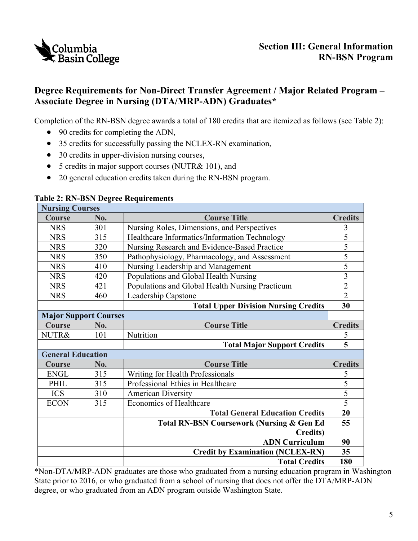

# **Degree Requirements for Non-Direct Transfer Agreement / Major Related Program – Associate Degree in Nursing (DTA/MRP-ADN) Graduates\***

Completion of the RN-BSN degree awards a total of 180 credits that are itemized as follows (see Table 2):

- 90 credits for completing the ADN,
- 35 credits for successfully passing the NCLEX-RN examination,
- 30 credits in upper-division nursing courses,
- 5 credits in major support courses (NUTR& 101), and
- · 20 general education credits taken during the RN-BSN program.

| <b>Nursing Courses</b>       |                                        |                                                      |                |  |  |  |
|------------------------------|----------------------------------------|------------------------------------------------------|----------------|--|--|--|
| Course<br>No.                |                                        | <b>Course Title</b>                                  |                |  |  |  |
| <b>NRS</b>                   | 301                                    | Nursing Roles, Dimensions, and Perspectives          |                |  |  |  |
| 315<br><b>NRS</b>            |                                        | Healthcare Informatics/Information Technology        |                |  |  |  |
| <b>NRS</b><br>320            |                                        | Nursing Research and Evidence-Based Practice         |                |  |  |  |
| <b>NRS</b>                   | 350                                    | Pathophysiology, Pharmacology, and Assessment        | $\overline{5}$ |  |  |  |
| <b>NRS</b><br>410            |                                        | Nursing Leadership and Management                    | $\overline{5}$ |  |  |  |
| <b>NRS</b><br>420            |                                        | Populations and Global Health Nursing                |                |  |  |  |
| <b>NRS</b><br>421            |                                        | Populations and Global Health Nursing Practicum      |                |  |  |  |
| <b>NRS</b><br>460            |                                        | Leadership Capstone                                  |                |  |  |  |
|                              |                                        | <b>Total Upper Division Nursing Credits</b>          | 30             |  |  |  |
| <b>Major Support Courses</b> |                                        |                                                      |                |  |  |  |
| Course                       | No.                                    | <b>Course Title</b>                                  | <b>Credits</b> |  |  |  |
| NUTR&                        | 101                                    | Nutrition                                            | 5              |  |  |  |
|                              |                                        | <b>Total Major Support Credits</b>                   | $\overline{5}$ |  |  |  |
| <b>General Education</b>     |                                        |                                                      |                |  |  |  |
| <b>Course</b>                | No.                                    | <b>Course Title</b>                                  | <b>Credits</b> |  |  |  |
| <b>ENGL</b>                  | 315                                    | Writing for Health Professionals                     | 5<br>5         |  |  |  |
| PHIL<br>315                  |                                        | Professional Ethics in Healthcare                    |                |  |  |  |
| <b>ICS</b>                   | 310                                    | <b>American Diversity</b>                            | $\overline{5}$ |  |  |  |
| <b>ECON</b>                  | 315                                    | <b>Economics of Healthcare</b>                       | $\overline{5}$ |  |  |  |
|                              | <b>Total General Education Credits</b> |                                                      | 20             |  |  |  |
|                              |                                        | <b>Total RN-BSN Coursework (Nursing &amp; Gen Ed</b> | 55             |  |  |  |
|                              |                                        | <b>Credits</b> )                                     |                |  |  |  |
|                              |                                        | <b>ADN Curriculum</b>                                | 90             |  |  |  |
|                              |                                        | <b>Credit by Examination (NCLEX-RN)</b>              | 35             |  |  |  |
|                              |                                        | <b>Total Credits</b>                                 | 180            |  |  |  |

#### **Table 2: RN-BSN Degree Requirements**

 State prior to 2016, or who graduated from a school of nursing that does not offer the DTA/MRP-ADN \*Non-DTA/MRP-ADN graduates are those who graduated from a nursing education program in Washington degree, or who graduated from an ADN program outside Washington State.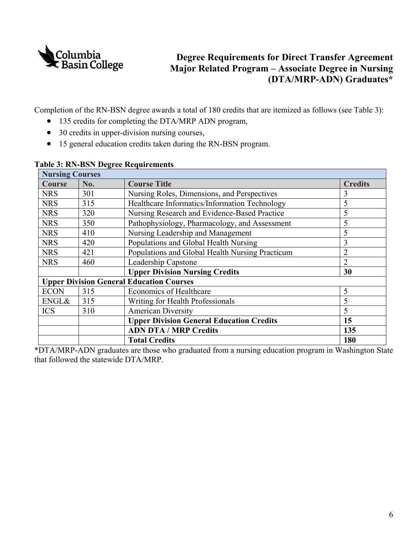

## **Degree Requirements for Direct Transfer Agreement Major Related Program – Associate Degree in Nursing (DTA/MRP-ADN) Graduates\***

Completion of the RN-BSN degree awards a total of 180 credits that are itemized as follows (see Table 3):

- · 135 credits for completing the DTA/MRP ADN program,
- 30 credits in upper-division nursing courses,
- · 15 general education credits taken during the RN-BSN program.

| <b>Nursing Courses</b> |     |                                                 |                |  |  |  |  |
|------------------------|-----|-------------------------------------------------|----------------|--|--|--|--|
| <b>Course</b>          | No. | <b>Course Title</b>                             | <b>Credits</b> |  |  |  |  |
| <b>NRS</b>             | 301 | Nursing Roles, Dimensions, and Perspectives     | 3              |  |  |  |  |
| <b>NRS</b>             | 315 | Healthcare Informatics/Information Technology   | 5              |  |  |  |  |
| <b>NRS</b>             | 320 | Nursing Research and Evidence-Based Practice    | 5              |  |  |  |  |
| <b>NRS</b>             | 350 | Pathophysiology, Pharmacology, and Assessment   | 5              |  |  |  |  |
| <b>NRS</b>             | 410 | Nursing Leadership and Management               | 5              |  |  |  |  |
| <b>NRS</b>             | 420 | Populations and Global Health Nursing           | 3              |  |  |  |  |
| <b>NRS</b>             | 421 | Populations and Global Health Nursing Practicum | $\overline{2}$ |  |  |  |  |
| <b>NRS</b>             | 460 | Leadership Capstone                             | $\overline{2}$ |  |  |  |  |
|                        |     | <b>Upper Division Nursing Credits</b>           | 30             |  |  |  |  |
|                        |     | <b>Upper Division General Education Courses</b> |                |  |  |  |  |
| <b>ECON</b>            | 315 | <b>Economics of Healthcare</b>                  | 5              |  |  |  |  |
| ENGL&                  | 315 | Writing for Health Professionals                | 5              |  |  |  |  |
| <b>ICS</b>             | 310 | <b>American Diversity</b>                       | 5              |  |  |  |  |
|                        |     | <b>Upper Division General Education Credits</b> | 15             |  |  |  |  |
|                        |     | <b>ADN DTA / MRP Credits</b>                    | 135            |  |  |  |  |
|                        |     | <b>Total Credits</b>                            | 180            |  |  |  |  |

#### **Table 3: RN-BSN Degree Requirements**

\*DTA/MRP-ADN graduates are those who graduated from a nursing education program in Washington State that followed the statewide DTA/MRP.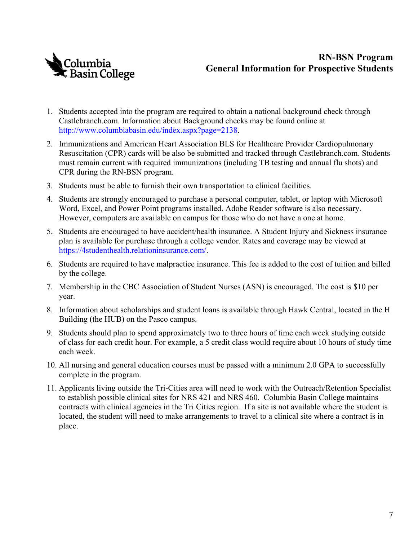

# **General Information for Prospective Students RN-BSN Program**

- 1. Students accepted into the program are required to obtain a national background check through [Castlebranch.com.](https://Castlebranch.com) Information about Background checks may be found online at [http://www.columbiabasin.edu/index.aspx?page=2138](https://www.columbiabasin.edu/learn/discover-your-path/health-sciences/nursing-bsn/index.html#tab-3).
- 2. Immunizations and American Heart Association BLS for Healthcare Provider Cardiopulmonary Resuscitation (CPR) cards will be also be submitted and tracked through [Castlebranch.com](https://Castlebranch.com). Students must remain current with required immunizations (including TB testing and annual flu shots) and CPR during the RN-BSN program.
- 3. Students must be able to furnish their own transportation to clinical facilities.
- 4. Students are strongly encouraged to purchase a personal computer, tablet, or laptop with Microsoft Word, Excel, and Power Point programs installed. Adobe Reader software is also necessary. However, computers are available on campus for those who do not have a one at home.
- 5. Students are encouraged to have accident/health insurance. A Student Injury and Sickness insurance plan is available for purchase through a college vendor. Rates and coverage may be viewed at <https://4studenthealth.relationinsurance.com/>.
- 6. Students are required to have malpractice insurance. This fee is added to the cost of tuition and billed by the college.
- 7. Membership in the CBC Association of Student Nurses (ASN) is encouraged. The cost is \$10 per year.
- 8. Information about scholarships and student loans is available through Hawk Central, located in the H Building (the HUB) on the Pasco campus.
- 9. Students should plan to spend approximately two to three hours of time each week studying outside of class for each credit hour. For example, a 5 credit class would require about 10 hours of study time each week.
- 10. All nursing and general education courses must be passed with a minimum 2.0 GPA to successfully complete in the program.
- to establish possible clinical sites for NRS 421 and NRS 460. Columbia Basin College maintains located, the student will need to make arrangements to travel to a clinical site where a contract is in 11. Applicants living outside the Tri-Cities area will need to work with the Outreach/Retention Specialist contracts with clinical agencies in the Tri Cities region. If a site is not available where the student is place.